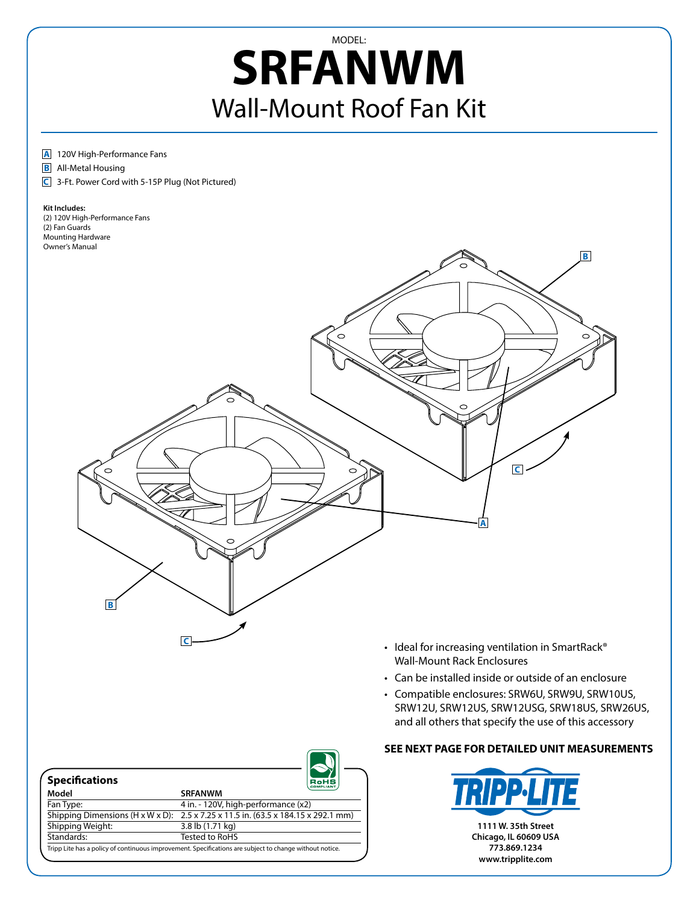## MODEL: **SRFANWM** Wall-Mount Roof Fan Kit

## **A** 120V High-Performance Fans

**B** All-Metal Housing

**C** 3-Ft. Power Cord with 5-15P Plug (Not Pictured)

## **Kit Includes:**

(2) 120V High-Performance Fans (2) Fan Guards Mounting Hardware Owner's Manual



- Ideal for increasing ventilation in SmartRack® Wall-Mount Rack Enclosures
- Can be installed inside or outside of an enclosure
- • Compatible enclosures: SRW6U, SRW9U, SRW10US, SRW12U, SRW12US, SRW12USG, SRW18US, SRW26US, and all others that specify the use of this accessory

| <b>Specifications</b> | RoHS<br><b>COMPLIANT</b>                                                                      |
|-----------------------|-----------------------------------------------------------------------------------------------|
| Model                 | <b>SRFANWM</b>                                                                                |
| Fan Type:             | 4 in. - 120V, high-performance (x2)                                                           |
|                       | Shipping Dimensions (H x W x D): $2.5 \times 7.25 \times 11.5$ in. (63.5 x 184.15 x 292.1 mm) |
| Shipping Weight:      | 3.8 lb (1.71 kg)                                                                              |
| Standards:            | <b>Tested to RoHS</b>                                                                         |

**C**

## **SEE NEXT PAGE FOR DETAILED UNIT MEASUREMENTS**



**773.869.1234 www.tripplite.com**